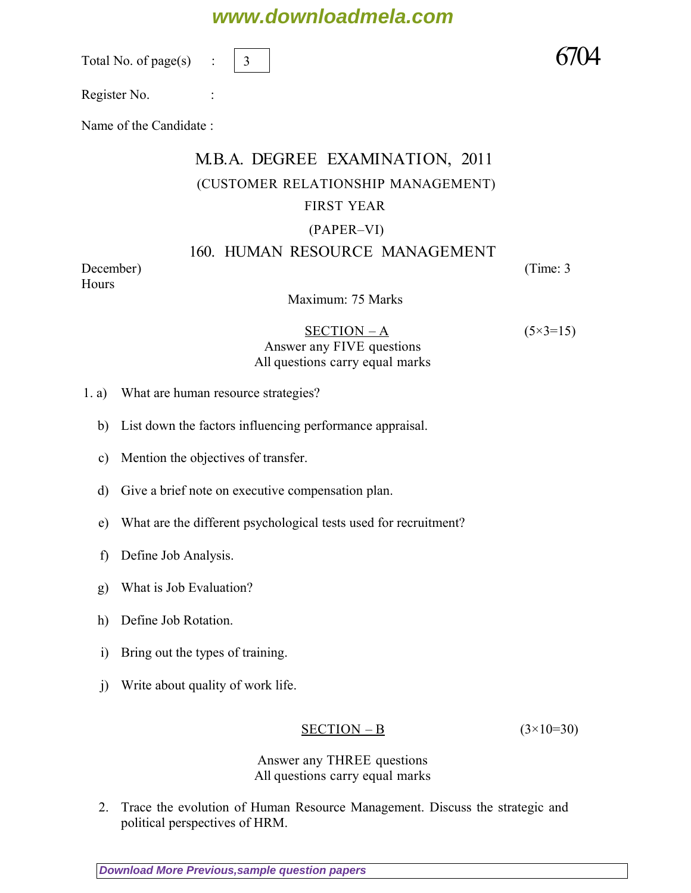# **www.downloadmela.com**

Total No. of page $(s)$ 

3

Register No. :

Name of the Candidate :

## M.B.A. DEGREE EXAMINATION, 2011 (CUSTOMER RELATIONSHIP MANAGEMENT) FIRST YEAR (PAPER–VI)

### 160. HUMAN RESOURCE MANAGEMENT

*December*) (*Time: 3 Hours*

Maximum: 75 Marks

#### $SECTION - A$   $(5 \times 3 = 15)$ *Answer any FIVE questions All questions carry equal marks*

- 1. a) What are human resource strategies?
	- b) List down the factors influencing performance appraisal.
	- c) Mention the objectives of transfer.
	- d) Give a brief note on executive compensation plan.
	- e) What are the different psychological tests used for recruitment?
	- f) Define Job Analysis.
	- g) What is Job Evaluation?
	- h) Define Job Rotation.
	- i) Bring out the types of training.
	- j) Write about quality of work life.

#### SECTION – B *(3×10=30)*

*Answer any THREE questions All questions carry equal marks* 

2. Trace the evolution of Human Resource Management. Discuss the strategic and political perspectives of HRM.

**[Download More Previous,sample question papers](http://downloadmela.com/pages/previouspapers/previouspapers.html)**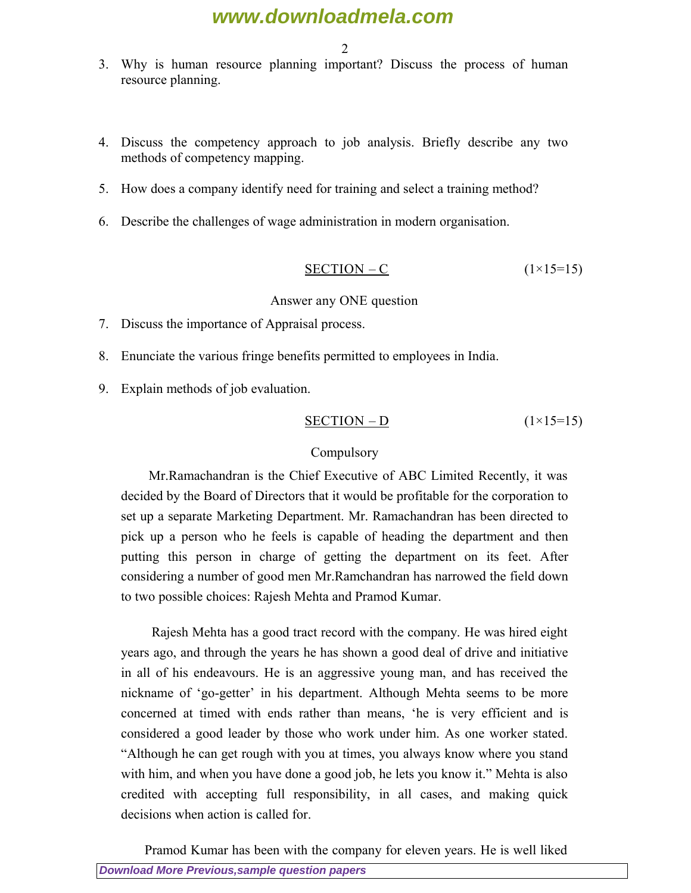### **www.downloadmela.com**

2

- 3. Why is human resource planning important? Discuss the process of human resource planning.
- 4. Discuss the competency approach to job analysis. Briefly describe any two methods of competency mapping.
- 5. How does a company identify need for training and select a training method?
- 6. Describe the challenges of wage administration in modern organisation.

$$
\frac{\text{SECTION} - \text{C}}{1 \times 15} = 15
$$

#### *Answer any ONE question*

- 7. Discuss the importance of Appraisal process.
- 8. Enunciate the various fringe benefits permitted to employees in India.
- 9. Explain methods of job evaluation.

$$
\frac{\text{SECTION} - \text{D}}{\text{1} \times 15 = 15}
$$

#### *Compulsory*

 Mr.Ramachandran is the Chief Executive of ABC Limited Recently, it was decided by the Board of Directors that it would be profitable for the corporation to set up a separate Marketing Department. Mr. Ramachandran has been directed to pick up a person who he feels is capable of heading the department and then putting this person in charge of getting the department on its feet. After considering a number of good men Mr.Ramchandran has narrowed the field down to two possible choices: Rajesh Mehta and Pramod Kumar.

 Rajesh Mehta has a good tract record with the company. He was hired eight years ago, and through the years he has shown a good deal of drive and initiative in all of his endeavours. He is an aggressive young man, and has received the nickname of 'go-getter' in his department. Although Mehta seems to be more concerned at timed with ends rather than means, 'he is very efficient and is considered a good leader by those who work under him. As one worker stated. "Although he can get rough with you at times, you always know where you stand with him, and when you have done a good job, he lets you know it." Mehta is also credited with accepting full responsibility, in all cases, and making quick decisions when action is called for.

**[Download More Previous,sample question papers](http://downloadmela.com/pages/previouspapers/previouspapers.html)** Pramod Kumar has been with the company for eleven years. He is well liked